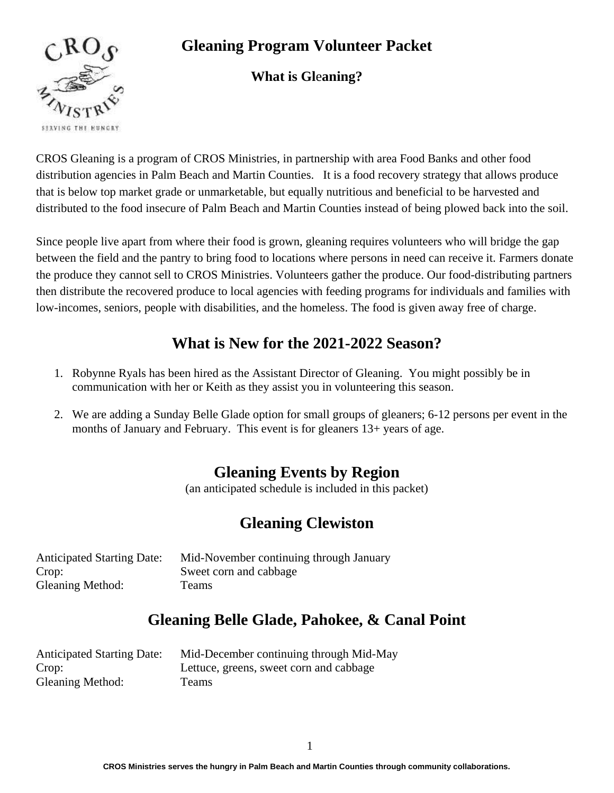

# **Gleaning Program Volunteer Packet**

### **What is Gl**e**aning?**

CROS Gleaning is a program of CROS Ministries, in partnership with area Food Banks and other food distribution agencies in Palm Beach and Martin Counties. It is a food recovery strategy that allows produce that is below top market grade or unmarketable, but equally nutritious and beneficial to be harvested and distributed to the food insecure of Palm Beach and Martin Counties instead of being plowed back into the soil.

Since people live apart from where their food is grown, gleaning requires volunteers who will bridge the gap between the field and the pantry to bring food to locations where persons in need can receive it. Farmers donate the produce they cannot sell to CROS Ministries. Volunteers gather the produce. Our food-distributing partners then distribute the recovered produce to local agencies with feeding programs for individuals and families with low-incomes, seniors, people with disabilities, and the homeless. The food is given away free of charge.

# **What is New for the 2021-2022 Season?**

- 1. Robynne Ryals has been hired as the Assistant Director of Gleaning. You might possibly be in communication with her or Keith as they assist you in volunteering this season.
- 2. We are adding a Sunday Belle Glade option for small groups of gleaners; 6-12 persons per event in the months of January and February. This event is for gleaners 13+ years of age.

# **Gleaning Events by Region**

(an anticipated schedule is included in this packet)

# **Gleaning Clewiston**

| <b>Anticipated Starting Date:</b> | Mid-November continuing through January |
|-----------------------------------|-----------------------------------------|
| Crop:                             | Sweet corn and cabbage                  |
| <b>Gleaning Method:</b>           | Teams                                   |

## **Gleaning Belle Glade, Pahokee, & Canal Point**

| <b>Anticipated Starting Date:</b> | Mid-December continuing through Mid-May |
|-----------------------------------|-----------------------------------------|
| Crop:                             | Lettuce, greens, sweet corn and cabbage |
| <b>Gleaning Method:</b>           | <b>Teams</b>                            |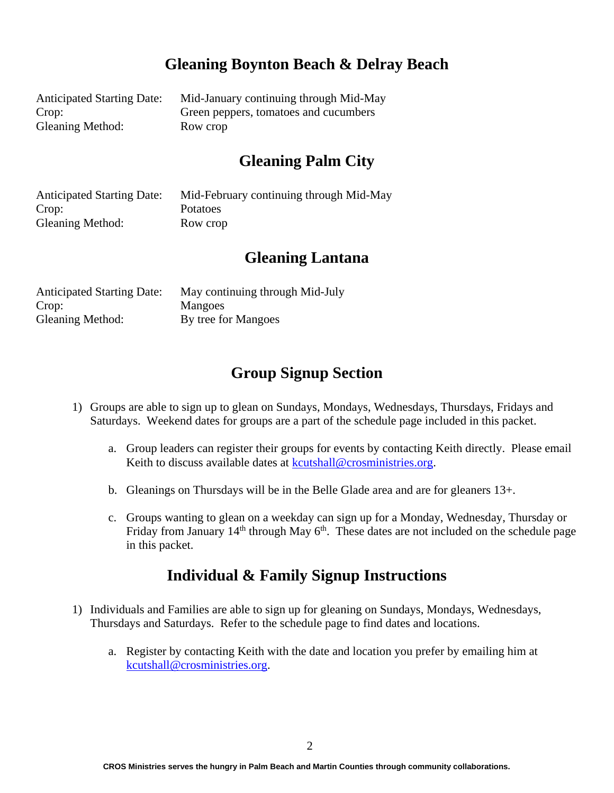## **Gleaning Boynton Beach & Delray Beach**

Anticipated Starting Date: Mid-January continuing through Mid-May Crop: Green peppers, tomatoes and cucumbers Gleaning Method: Row crop

## **Gleaning Palm City**

Anticipated Starting Date: Mid-February continuing through Mid-May Crop: Potatoes Gleaning Method: Row crop

### **Gleaning Lantana**

| <b>Anticipated Starting Date:</b> | May continuing through Mid-July |
|-----------------------------------|---------------------------------|
| Crop:                             | <b>Mangoes</b>                  |
| <b>Gleaning Method:</b>           | By tree for Mangoes             |

## **Group Signup Section**

- 1) Groups are able to sign up to glean on Sundays, Mondays, Wednesdays, Thursdays, Fridays and Saturdays. Weekend dates for groups are a part of the schedule page included in this packet.
	- a. Group leaders can register their groups for events by contacting Keith directly. Please email Keith to discuss available dates at [kcutshall@crosministries.org.](mailto:kcutshall@crosministries.org)
	- b. Gleanings on Thursdays will be in the Belle Glade area and are for gleaners 13+.
	- c. Groups wanting to glean on a weekday can sign up for a Monday, Wednesday, Thursday or Friday from January  $14<sup>th</sup>$  through May  $6<sup>th</sup>$ . These dates are not included on the schedule page in this packet.

### **Individual & Family Signup Instructions**

- 1) Individuals and Families are able to sign up for gleaning on Sundays, Mondays, Wednesdays, Thursdays and Saturdays. Refer to the schedule page to find dates and locations.
	- a. Register by contacting Keith with the date and location you prefer by emailing him at [kcutshall@crosministries.org.](mailto:kcutshall@crosministries.org)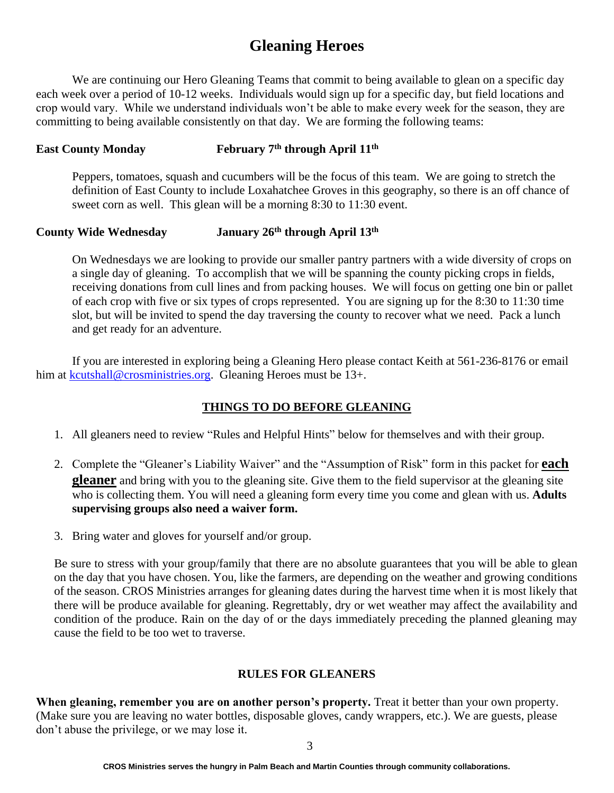## **Gleaning Heroes**

We are continuing our Hero Gleaning Teams that commit to being available to glean on a specific day each week over a period of 10-12 weeks. Individuals would sign up for a specific day, but field locations and crop would vary. While we understand individuals won't be able to make every week for the season, they are committing to being available consistently on that day. We are forming the following teams:

#### **East County Monday th through April 11th**

Peppers, tomatoes, squash and cucumbers will be the focus of this team. We are going to stretch the definition of East County to include Loxahatchee Groves in this geography, so there is an off chance of sweet corn as well. This glean will be a morning 8:30 to 11:30 event.

### **County Wide Wednesday January 26th through April 13th**

On Wednesdays we are looking to provide our smaller pantry partners with a wide diversity of crops on a single day of gleaning. To accomplish that we will be spanning the county picking crops in fields, receiving donations from cull lines and from packing houses. We will focus on getting one bin or pallet of each crop with five or six types of crops represented. You are signing up for the 8:30 to 11:30 time slot, but will be invited to spend the day traversing the county to recover what we need. Pack a lunch and get ready for an adventure.

If you are interested in exploring being a Gleaning Hero please contact Keith at 561-236-8176 or email him at [kcutshall@crosministries.org.](mailto:kcutshall@crosministries.org) Gleaning Heroes must be 13+.

### **THINGS TO DO BEFORE GLEANING**

- 1. All gleaners need to review "Rules and Helpful Hints" below for themselves and with their group.
- 2. Complete the "Gleaner's Liability Waiver" and the "Assumption of Risk" form in this packet for **each gleaner** and bring with you to the gleaning site. Give them to the field supervisor at the gleaning site who is collecting them. You will need a gleaning form every time you come and glean with us. **Adults supervising groups also need a waiver form.**
- 3. Bring water and gloves for yourself and/or group.

Be sure to stress with your group/family that there are no absolute guarantees that you will be able to glean on the day that you have chosen. You, like the farmers, are depending on the weather and growing conditions of the season. CROS Ministries arranges for gleaning dates during the harvest time when it is most likely that there will be produce available for gleaning. Regrettably, dry or wet weather may affect the availability and condition of the produce. Rain on the day of or the days immediately preceding the planned gleaning may cause the field to be too wet to traverse.

### **RULES FOR GLEANERS**

**When gleaning, remember you are on another person's property.** Treat it better than your own property. (Make sure you are leaving no water bottles, disposable gloves, candy wrappers, etc.). We are guests, please don't abuse the privilege, or we may lose it.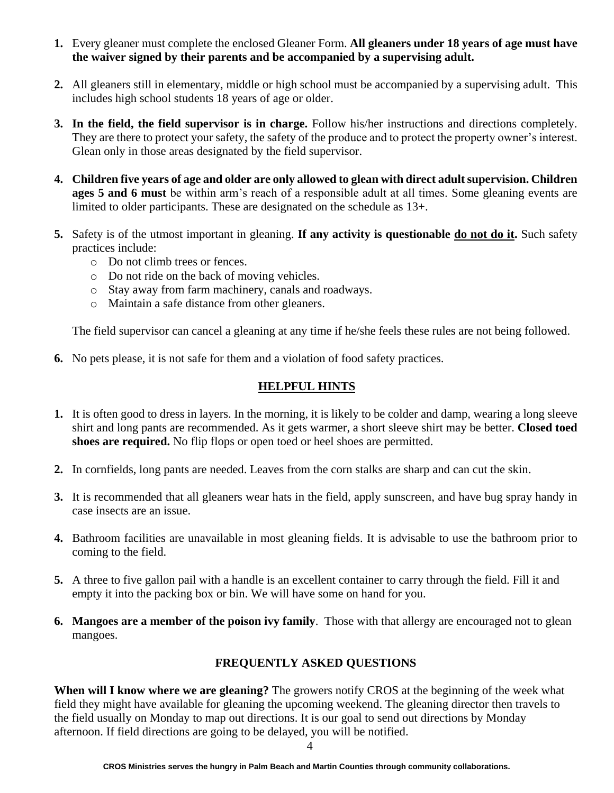- **1.** Every gleaner must complete the enclosed Gleaner Form. **All gleaners under 18 years of age must have the waiver signed by their parents and be accompanied by a supervising adult.**
- **2.** All gleaners still in elementary, middle or high school must be accompanied by a supervising adult. This includes high school students 18 years of age or older.
- **3. In the field, the field supervisor is in charge.** Follow his/her instructions and directions completely. They are there to protect your safety, the safety of the produce and to protect the property owner's interest. Glean only in those areas designated by the field supervisor.
- **4. Children five years of age and older are only allowed to glean with direct adult supervision. Children ages 5 and 6 must** be within arm's reach of a responsible adult at all times. Some gleaning events are limited to older participants. These are designated on the schedule as 13+.
- **5.** Safety is of the utmost important in gleaning. **If any activity is questionable do not do it.** Such safety practices include:
	- o Do not climb trees or fences.
	- o Do not ride on the back of moving vehicles.
	- o Stay away from farm machinery, canals and roadways.
	- o Maintain a safe distance from other gleaners.

The field supervisor can cancel a gleaning at any time if he/she feels these rules are not being followed.

**6.** No pets please, it is not safe for them and a violation of food safety practices.

### **HELPFUL HINTS**

- **1.** It is often good to dress in layers. In the morning, it is likely to be colder and damp, wearing a long sleeve shirt and long pants are recommended. As it gets warmer, a short sleeve shirt may be better. **Closed toed shoes are required.** No flip flops or open toed or heel shoes are permitted.
- **2.** In cornfields, long pants are needed. Leaves from the corn stalks are sharp and can cut the skin.
- **3.** It is recommended that all gleaners wear hats in the field, apply sunscreen, and have bug spray handy in case insects are an issue.
- **4.** Bathroom facilities are unavailable in most gleaning fields. It is advisable to use the bathroom prior to coming to the field.
- **5.** A three to five gallon pail with a handle is an excellent container to carry through the field. Fill it and empty it into the packing box or bin. We will have some on hand for you.
- **6. Mangoes are a member of the poison ivy family**. Those with that allergy are encouraged not to glean mangoes.

### **FREQUENTLY ASKED QUESTIONS**

**When will I know where we are gleaning?** The growers notify CROS at the beginning of the week what field they might have available for gleaning the upcoming weekend. The gleaning director then travels to the field usually on Monday to map out directions. It is our goal to send out directions by Monday afternoon. If field directions are going to be delayed, you will be notified.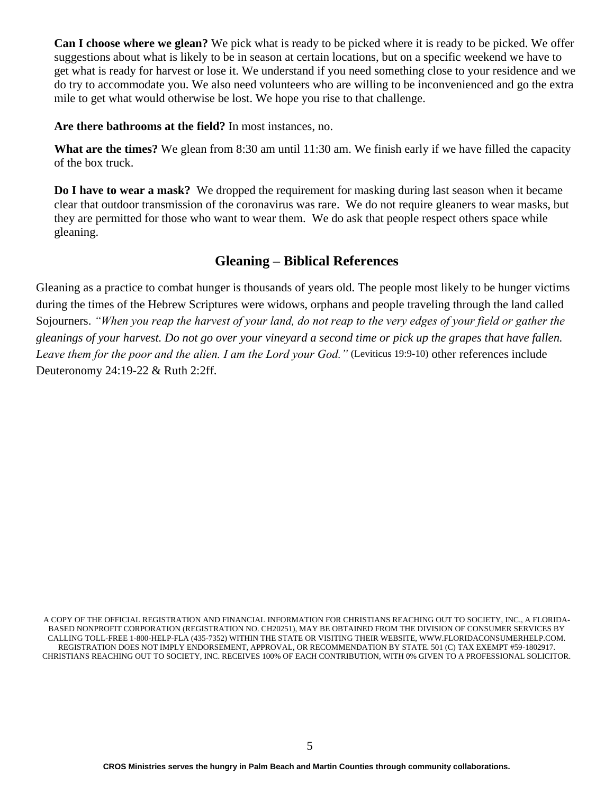**Can I choose where we glean?** We pick what is ready to be picked where it is ready to be picked. We offer suggestions about what is likely to be in season at certain locations, but on a specific weekend we have to get what is ready for harvest or lose it. We understand if you need something close to your residence and we do try to accommodate you. We also need volunteers who are willing to be inconvenienced and go the extra mile to get what would otherwise be lost. We hope you rise to that challenge.

**Are there bathrooms at the field?** In most instances, no.

**What are the times?** We glean from 8:30 am until 11:30 am. We finish early if we have filled the capacity of the box truck.

**Do I have to wear a mask?** We dropped the requirement for masking during last season when it became clear that outdoor transmission of the coronavirus was rare. We do not require gleaners to wear masks, but they are permitted for those who want to wear them. We do ask that people respect others space while gleaning.

### **Gleaning – Biblical References**

Gleaning as a practice to combat hunger is thousands of years old. The people most likely to be hunger victims during the times of the Hebrew Scriptures were widows, orphans and people traveling through the land called Sojourners. *"When you reap the harvest of your land, do not reap to the very edges of your field or gather the gleanings of your harvest. Do not go over your vineyard a second time or pick up the grapes that have fallen. Leave them for the poor and the alien. I am the Lord your God."* (Leviticus 19:9-10) other references include Deuteronomy 24:19-22 & Ruth 2:2ff.

A COPY OF THE OFFICIAL REGISTRATION AND FINANCIAL INFORMATION FOR CHRISTIANS REACHING OUT TO SOCIETY, INC., A FLORIDA-BASED NONPROFIT CORPORATION (REGISTRATION NO. CH20251), MAY BE OBTAINED FROM THE DIVISION OF CONSUMER SERVICES BY CALLING TOLL-FREE 1-800-HELP-FLA (435-7352) WITHIN THE STATE OR VISITING THEIR WEBSITE, WWW.FLORIDACONSUMERHELP.COM. REGISTRATION DOES NOT IMPLY ENDORSEMENT, APPROVAL, OR RECOMMENDATION BY STATE. 501 (C) TAX EXEMPT #59-1802917. CHRISTIANS REACHING OUT TO SOCIETY, INC. RECEIVES 100% OF EACH CONTRIBUTION, WITH 0% GIVEN TO A PROFESSIONAL SOLICITOR.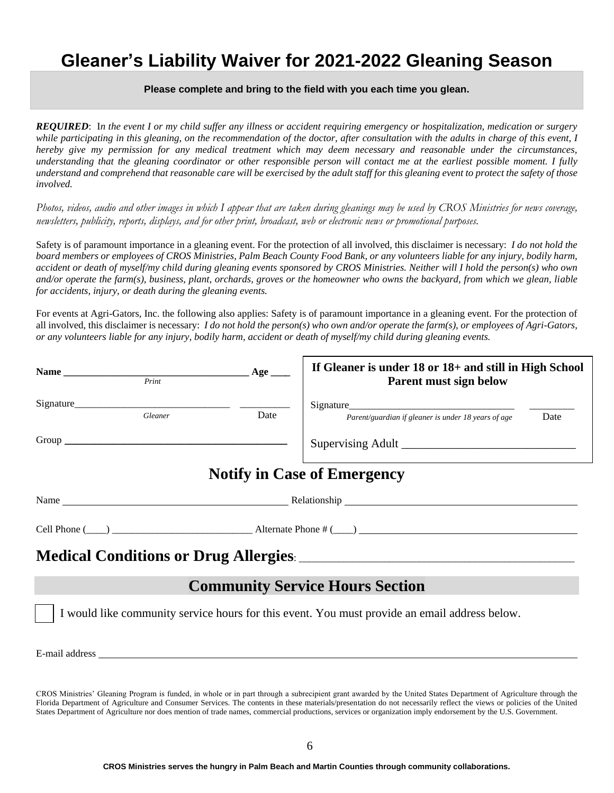# **Gleaner's Liability Waiver for 2021-2022 Gleaning Season**

### **Please complete and bring to the field with you each time you glean.**

*REQUIRED*: I*n the event I or my child suffer any illness or accident requiring emergency or hospitalization, medication or surgery while participating in this gleaning, on the recommendation of the doctor, after consultation with the adults in charge of this event, I hereby give my permission for any medical treatment which may deem necessary and reasonable under the circumstances, understanding that the gleaning coordinator or other responsible person will contact me at the earliest possible moment. I fully understand and comprehend that reasonable care will be exercised by the adult staff for this gleaning event to protect the safety of those involved.*

*Photos, videos, audio and other images in which I appear that are taken during gleanings may be used by CROS Ministries for news coverage, newsletters, publicity, reports, displays, and for other print, broadcast, web or electronic news or promotional purposes.*

Safety is of paramount importance in a gleaning event. For the protection of all involved, this disclaimer is necessary: *I do not hold the board members or employees of CROS Ministries, Palm Beach County Food Bank, or any volunteers liable for any injury, bodily harm, accident or death of myself/my child during gleaning events sponsored by CROS Ministries. Neither will I hold the person(s) who own and/or operate the farm(s), business, plant, orchards, groves or the homeowner who owns the backyard, from which we glean, liable for accidents, injury, or death during the gleaning events.*

For events at Agri-Gators, Inc. the following also applies: Safety is of paramount importance in a gleaning event. For the protection of all involved, this disclaimer is necessary: *I do not hold the person(s) who own and/or operate the farm(s), or employees of Agri-Gators, or any volunteers liable for any injury, bodily harm, accident or death of myself/my child during gleaning events.* 

|                                        | Name Print | Age  | If Gleaner is under 18 or 18+ and still in High School<br>Parent must sign below              |      |
|----------------------------------------|------------|------|-----------------------------------------------------------------------------------------------|------|
|                                        | Gleaner    | Date | Parent/guardian if gleaner is under 18 years of age                                           | Date |
|                                        |            |      |                                                                                               |      |
|                                        |            |      | <b>Notify in Case of Emergency</b>                                                            |      |
|                                        |            |      |                                                                                               |      |
|                                        |            |      | Cell Phone $(\_\_\_\_\_\_\_\_\$ Alternate Phone # $(\_\_\_\_\_\_\_\_\_\_$                     |      |
|                                        |            |      |                                                                                               |      |
| <b>Community Service Hours Section</b> |            |      |                                                                                               |      |
|                                        |            |      | I would like community service hours for this event. You must provide an email address below. |      |
|                                        |            |      |                                                                                               |      |

CROS Ministries' Gleaning Program is funded, in whole or in part through a subrecipient grant awarded by the United States Department of Agriculture through the Florida Department of Agriculture and Consumer Services. The contents in these materials/presentation do not necessarily reflect the views or policies of the United States Department of Agriculture nor does mention of trade names, commercial productions, services or organization imply endorsement by the U.S. Government.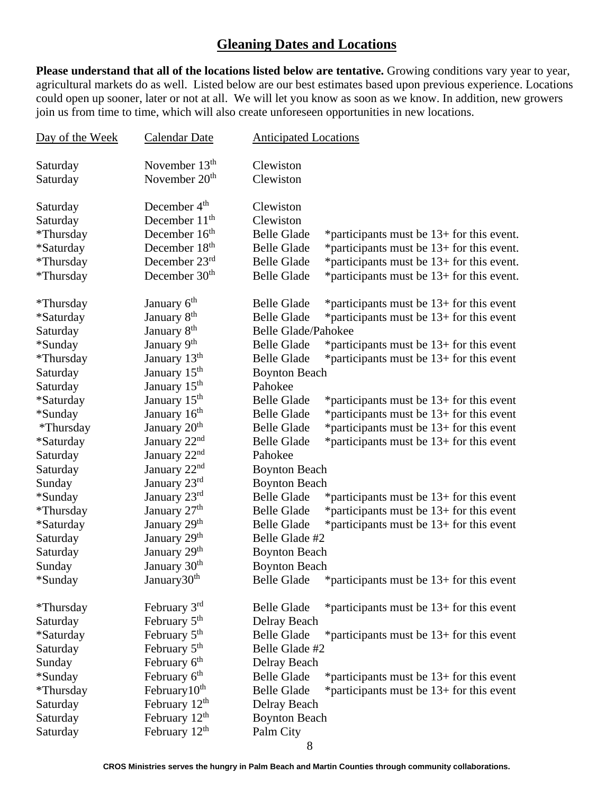### **Gleaning Dates and Locations**

**Please understand that all of the locations listed below are tentative.** Growing conditions vary year to year, agricultural markets do as well. Listed below are our best estimates based upon previous experience. Locations could open up sooner, later or not at all. We will let you know as soon as we know. In addition, new growers join us from time to time, which will also create unforeseen opportunities in new locations.

| Day of the Week | <b>Calendar Date</b>      | <b>Anticipated Locations</b> |                                             |
|-----------------|---------------------------|------------------------------|---------------------------------------------|
|                 |                           |                              |                                             |
| Saturday        | November $13th$           | Clewiston                    |                                             |
| Saturday        | November 20 <sup>th</sup> | Clewiston                    |                                             |
| Saturday        | December 4 <sup>th</sup>  | Clewiston                    |                                             |
| Saturday        | December 11 <sup>th</sup> | Clewiston                    |                                             |
| *Thursday       | December 16 <sup>th</sup> | <b>Belle Glade</b>           | *participants must be 13+ for this event.   |
| *Saturday       | December 18 <sup>th</sup> | <b>Belle Glade</b>           | *participants must be 13+ for this event.   |
| *Thursday       | December $23rd$           | <b>Belle Glade</b>           | *participants must be 13+ for this event.   |
| *Thursday       | December 30 <sup>th</sup> | <b>Belle Glade</b>           | *participants must be 13+ for this event.   |
|                 |                           |                              |                                             |
| *Thursday       | January 6 <sup>th</sup>   | <b>Belle Glade</b>           | *participants must be $13+$ for this event  |
| *Saturday       | January 8 <sup>th</sup>   | <b>Belle Glade</b>           | *participants must be $13+$ for this event  |
| Saturday        | January 8 <sup>th</sup>   | <b>Belle Glade/Pahokee</b>   |                                             |
| *Sunday         | January 9 <sup>th</sup>   | <b>Belle Glade</b>           | *participants must be $13+$ for this event  |
| *Thursday       | January 13th              | <b>Belle Glade</b>           | *participants must be $13+$ for this event  |
| Saturday        | January 15 <sup>th</sup>  | <b>Boynton Beach</b>         |                                             |
| Saturday        | January 15 <sup>th</sup>  | Pahokee                      |                                             |
| *Saturday       | January 15 <sup>th</sup>  | <b>Belle Glade</b>           | *participants must be $13+$ for this event  |
| *Sunday         | January 16 <sup>th</sup>  | <b>Belle Glade</b>           | *participants must be 13+ for this event    |
| *Thursday       | January 20 <sup>th</sup>  | <b>Belle Glade</b>           | *participants must be 13+ for this event    |
| *Saturday       | January 22nd              | <b>Belle Glade</b>           | *participants must be $13+$ for this event  |
| Saturday        | January 22nd              | Pahokee                      |                                             |
| Saturday        | January 22nd              | <b>Boynton Beach</b>         |                                             |
| Sunday          | January 23rd              | <b>Boynton Beach</b>         |                                             |
| *Sunday         | January 23rd              | <b>Belle Glade</b>           | *participants must be $13+$ for this event  |
| *Thursday       | January 27 <sup>th</sup>  | <b>Belle Glade</b>           | *participants must be 13+ for this event    |
| *Saturday       | January 29 <sup>th</sup>  | <b>Belle Glade</b>           | *participants must be $13+$ for this event  |
| Saturday        | January 29th              | Belle Glade #2               |                                             |
| Saturday        | January 29 <sup>th</sup>  | <b>Boynton Beach</b>         |                                             |
| Sunday          | January 30 <sup>th</sup>  | <b>Boynton Beach</b>         |                                             |
| *Sunday         | January30 <sup>th</sup>   | <b>Belle Glade</b>           | *participants must be $13+$ for this event  |
| *Thursday       | February 3rd              | <b>Belle Glade</b>           | *participants must be $13+$ for this event  |
| Saturday        | February 5 <sup>th</sup>  | Delray Beach                 |                                             |
| *Saturday       | February 5 <sup>th</sup>  | <b>Belle Glade</b>           | * participants must be $13+$ for this event |
| Saturday        | February 5 <sup>th</sup>  | Belle Glade #2               |                                             |
| Sunday          | February $6^{\text{th}}$  | Delray Beach                 |                                             |
| *Sunday         | February 6 <sup>th</sup>  | <b>Belle Glade</b>           | *participants must be $13+$ for this event  |
| *Thursday       | February $10th$           | <b>Belle Glade</b>           | *participants must be 13+ for this event    |
| Saturday        | February 12 <sup>th</sup> | Delray Beach                 |                                             |
| Saturday        | February 12 <sup>th</sup> | <b>Boynton Beach</b>         |                                             |
| Saturday        | February 12 <sup>th</sup> | Palm City                    |                                             |
|                 |                           |                              |                                             |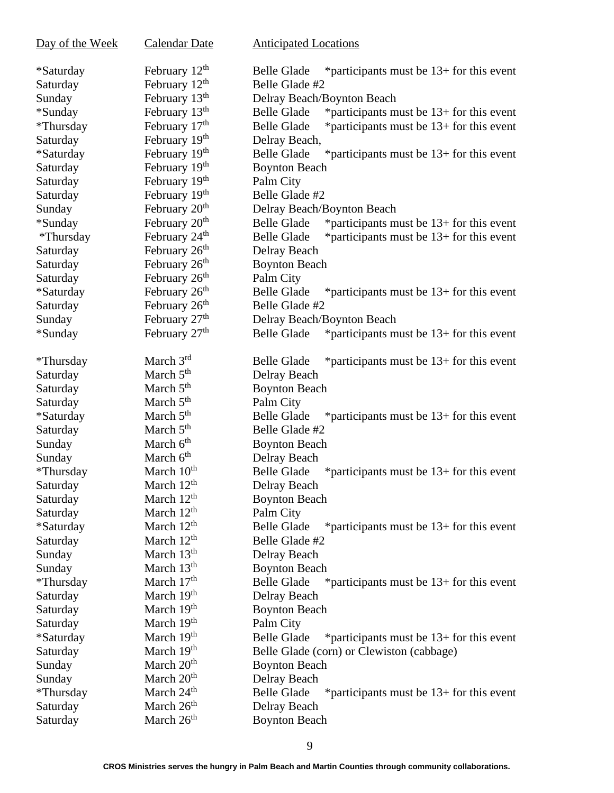| Day of the Week | <b>Calendar Date</b>      | <b>Anticipated Locations</b>                                      |
|-----------------|---------------------------|-------------------------------------------------------------------|
| *Saturday       | February 12 <sup>th</sup> | *participants must be $13+$ for this event<br><b>Belle Glade</b>  |
| Saturday        | February $12th$           | Belle Glade #2                                                    |
| Sunday          | February 13 <sup>th</sup> | Delray Beach/Boynton Beach                                        |
| *Sunday         | February 13 <sup>th</sup> | <b>Belle Glade</b><br>*participants must be $13+$ for this event  |
| *Thursday       | February 17 <sup>th</sup> | <b>Belle Glade</b><br>*participants must be $13+$ for this event  |
| Saturday        | February 19 <sup>th</sup> | Delray Beach,                                                     |
| *Saturday       | February 19th             | <b>Belle Glade</b><br>*participants must be $13+$ for this event  |
| Saturday        | February 19th             | <b>Boynton Beach</b>                                              |
| Saturday        | February 19th             | Palm City                                                         |
| Saturday        | February 19th             | Belle Glade #2                                                    |
| Sunday          | February 20 <sup>th</sup> | Delray Beach/Boynton Beach                                        |
| *Sunday         | February 20 <sup>th</sup> | <b>Belle Glade</b><br>*participants must be 13+ for this event    |
| *Thursday       | February 24 <sup>th</sup> | <b>Belle Glade</b><br>*participants must be 13+ for this event    |
| Saturday        | February 26 <sup>th</sup> | Delray Beach                                                      |
| Saturday        | February 26 <sup>th</sup> | <b>Boynton Beach</b>                                              |
| Saturday        | February 26 <sup>th</sup> | Palm City                                                         |
| *Saturday       | February 26 <sup>th</sup> | <b>Belle Glade</b><br>*participants must be $13+$ for this event  |
| Saturday        | February 26 <sup>th</sup> | Belle Glade #2                                                    |
| Sunday          | February 27 <sup>th</sup> | Delray Beach/Boynton Beach                                        |
| *Sunday         | February 27 <sup>th</sup> | <b>Belle Glade</b><br>* participants must be $13+$ for this event |
| *Thursday       | March $3rd$               | <b>Belle Glade</b><br>*participants must be $13+$ for this event  |
| Saturday        | March 5 <sup>th</sup>     | Delray Beach                                                      |
| Saturday        | March $5th$               | <b>Boynton Beach</b>                                              |
| Saturday        | March $5th$               | Palm City                                                         |
| *Saturday       | March 5 <sup>th</sup>     | <b>Belle Glade</b><br>* participants must be $13+$ for this event |
| Saturday        | March 5 <sup>th</sup>     | Belle Glade #2                                                    |
| Sunday          | March 6 <sup>th</sup>     | <b>Boynton Beach</b>                                              |
| Sunday          | March 6 <sup>th</sup>     | Delray Beach                                                      |
| *Thursday       | March 10 <sup>th</sup>    | <b>Belle Glade</b><br>*participants must be $13+$ for this event  |
| Saturday        | March 12 <sup>th</sup>    | Delray Beach                                                      |
| Saturday        | March 12 <sup>th</sup>    | <b>Boynton Beach</b>                                              |
| Saturday        | March 12 <sup>th</sup>    | Palm City                                                         |
| *Saturday       | March 12 <sup>th</sup>    | <b>Belle Glade</b><br>*participants must be $13+$ for this event  |
| Saturday        | March 12 <sup>th</sup>    | Belle Glade #2                                                    |
| Sunday          | March 13 <sup>th</sup>    | Delray Beach                                                      |
| Sunday          | March 13 <sup>th</sup>    | <b>Boynton Beach</b>                                              |
| *Thursday       | March $17th$              | <b>Belle Glade</b><br>*participants must be $13+$ for this event  |
| Saturday        | March 19th                | Delray Beach                                                      |
| Saturday        | March 19 <sup>th</sup>    | <b>Boynton Beach</b>                                              |
| Saturday        | March 19 <sup>th</sup>    | Palm City                                                         |
| *Saturday       | March 19th                | <b>Belle Glade</b><br>* participants must be $13+$ for this event |
| Saturday        | March 19 <sup>th</sup>    | Belle Glade (corn) or Clewiston (cabbage)                         |
| Sunday          | March 20 <sup>th</sup>    | <b>Boynton Beach</b>                                              |
| Sunday          | March 20 <sup>th</sup>    | Delray Beach                                                      |
| *Thursday       | March 24 <sup>th</sup>    | <b>Belle Glade</b><br>* participants must be $13+$ for this event |
| Saturday        | March 26 <sup>th</sup>    | Delray Beach                                                      |
| Saturday        | March 26 <sup>th</sup>    | <b>Boynton Beach</b>                                              |